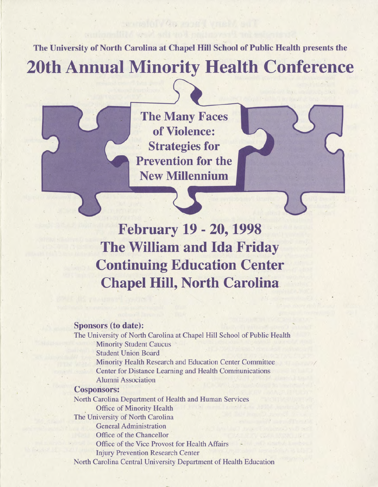**The University of North Carolina at Chapel Hill School of Public Health presents the**

**20th Annual Minority Health Conference**

**The Many Faces of Violence: Strategies for Prevention for the New Millennium**

**February 19 - 20,1998 The William and Ida Friday Continuing Education Center Chapel Hill, North Carolina**

# **Sponsors (to date):**

The University of North Carolina at Chapel Hill School of Public Health Minority Student Caucus Student Union Board Minority Health Research and Education Center Committee / Center for Distance Learning and Health Communications Alumni Association

## **Cosponsors:**

North Carolina Department of Health and Human Services Office of Minority Health The University of North Carolina General Administration Office of the Chancellor Office of the Vice Provost for Health Affairs Injury Prevention Research Center North Carolina Central University Department of Health Education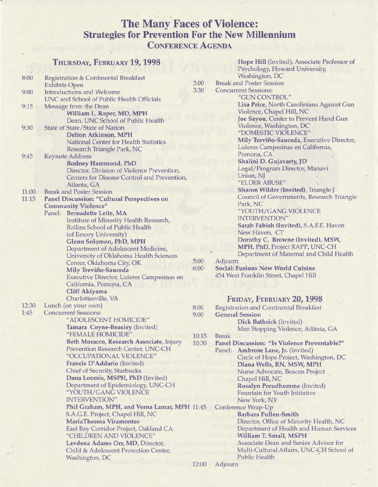# **The Many Faces of Violence: Strategies for Prevention For the New Millennium C onference A genda**

|       | THURSDAY, FEBRUARY 19, 1998                                                 |       | Hope Hill (Invited), Associate Professor of   |
|-------|-----------------------------------------------------------------------------|-------|-----------------------------------------------|
|       |                                                                             |       | Psychology, Howard University,                |
| 8:00  | Registration & Continental Breakfast                                        |       | Washington, DC                                |
|       | <b>Exhibits Open</b>                                                        | 3:00  | <b>Break and Poster Session</b>               |
| 9:00  | <b>Introductions and Welcome</b>                                            | 3:30  | <b>Concurrent Sessions:</b>                   |
|       | UNC and School of Public Health Officials                                   |       | "GUN CONTROL"                                 |
| 9:15  | Message from the Dean                                                       |       | Lisa Price, North Carolinians Against Gun     |
|       | William L. Roper, MD, MPH                                                   |       | Violence, Chapel Hill, NC                     |
|       | Dean, UNC School of Public Health                                           |       | Joe Sayou, Center to Prevent Hand Gun         |
| 9:30  | State of State/State of Nation                                              |       | Violence, Washington, DC                      |
|       |                                                                             |       | "DOMESTIC VIOLENCE"                           |
|       | <b>Delton Atkinson, MPH</b><br><b>National Center for Health Statistics</b> |       | Mily Treviño-Sauceda, Executive Director,     |
|       |                                                                             |       | Lideres Campesinas en California,             |
|       | Research Triangle Park, NC                                                  |       | Pomona, CA                                    |
| 9:45  | <b>Keynote Address</b>                                                      |       | Shalini D. Gujavarty, JD                      |
|       | <b>Rodney Hammond, PhD</b>                                                  |       | Legal/Program Director, Manavi                |
|       | Director, Division of Violence Prevention,                                  |       | Union, NJ                                     |
|       | Centers for Disease Control and Prevention,                                 |       | "ELDER ABUSE"                                 |
|       | Atlanta, GA                                                                 |       |                                               |
| 11:00 | <b>Break and Poster Session</b>                                             |       | Sharon Wilder (Invited), Triangle J           |
| 11:15 | <b>Panel Discussion: "Cultural Perspectives on</b>                          |       | Council of Governments, Research Triangle     |
|       | <b>Community Violence"</b>                                                  |       | Park, NC                                      |
|       | Panel: Bernadette Leite, MA                                                 |       | "YOUTH/GANG VIOLENCE                          |
|       | Institute of Minority Health Research,                                      |       | INTERVENTION"                                 |
|       | Rollins School of Public Health                                             |       | Sarah Fabish (Invited), S.A.F.E. Haven        |
|       | (of Emory University)                                                       |       | New Haven, CT                                 |
|       | Glenn Solomon, PhD, MPH                                                     |       | Dorothy C. Browne (Invited), MSW,             |
|       | Department of Adolescent Medicine,                                          |       | MPH, PhD, Project RAPP, UNC-CH                |
|       | University of Oklahoma Health Sciences                                      |       | Department of Maternal and Child Health       |
|       | Center, Oklahoma City, OK                                                   | 5:00  | Adjourn                                       |
|       | Mily Treviño-Sauceda                                                        | 6:00  | <b>Social: Fusions New World Cuisine</b>      |
|       | Executive Director, Lideres Campesinas en                                   |       | 454 West Franklin Street, Chapel Hill         |
|       | California, Pomona, CA                                                      |       |                                               |
|       | <b>Cliff Akiyama</b>                                                        |       |                                               |
|       | Charlottesville, VA                                                         |       | FRIDAY, FEBRUARY 20, 1998                     |
| 12:30 | Lunch (on your own)                                                         |       |                                               |
| 1:45  | <b>Concurrent Sessions:</b>                                                 | 8:00  | <b>Registration and Continental Breakfast</b> |
|       | "ADOLESCENT HOMICIDE"                                                       | 9:00  | <b>General Session</b>                        |
|       |                                                                             |       | Dick Bathrick (Invited)                       |
|       | Tamara Coyne-Beasley (Invited)                                              |       | Men Stopping Violence, Atlanta, GA            |
|       | "FEMALE HOMICIDE"                                                           | 10:15 | <b>Break</b>                                  |
|       | Beth Moracco, Research Associate, Injury                                    | 10:30 | Panel Discussion: "Is Violence Preventable?"  |
|       | Prevention Research Center, UNC-CH                                          |       | Panel: Ambrose Lane, Jr. (Invited)            |
|       | "OCCUPATIONAL VIOLENCE"                                                     |       | Circle of Hope Project, Washington, DC        |
|       | Francis D'Addario (Invited)                                                 |       | Diana Wells, RN, MSW, MPH                     |
|       | <b>Chief of Security, Starbucks</b>                                         |       | Nurse Advocate, Beacon Project                |
|       | Dana Loomis, MSPH, PhD (Invited)                                            |       | Chapel Hill, NC                               |
|       | Department of Epidemiology, UNC-CH                                          |       | Rosalyn Preudhomme (Invited)                  |
|       | "YOUTH/GANG VIOLENCE                                                        |       | Fountain for Youth Initiative                 |
|       | <b>INTERVENTION"</b>                                                        |       | New York, NY                                  |
|       | Phil Graham, MPH, and Verna Lamar, MPH 11:45                                |       | Conference Wrap-Up                            |
|       | S.A.G.E. Project, Chapel Hill, NC                                           |       | <b>Barbara Pullen-Smith</b>                   |
|       | <b>MariaTheresa Viramontes</b>                                              |       | Director, Office of Minority Health, NC       |
|       | East Bay Corridor Project, Oakland CA                                       |       | Department of Health and Human Services       |
|       | "CHILDREN AND VIOLENCE"                                                     |       | William T. Small, MSPH                        |
|       | Lavdena Adams Orr, MD, Director,                                            |       | <b>Associate Dean and Senior Advisor for</b>  |
|       | Child & Adolescent Protection Center,                                       |       | Multi-Cultural Affairs, UNC-CH School of      |
|       | Washington, DC                                                              |       | <b>Public Health</b>                          |
|       |                                                                             |       |                                               |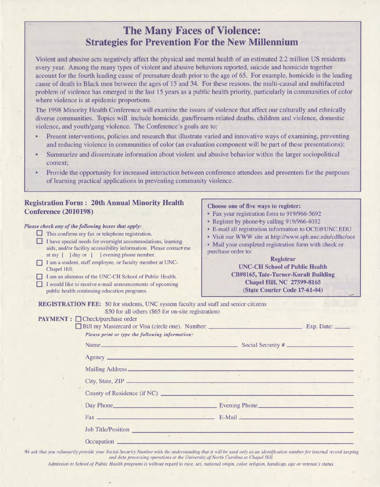# **The Many Faces of Violence: Strategies for Prevention For the New Millennium**

Violent and abusive acts negatively affect the physical and mental health of an estimated 2.2 million US residents every year. Among the many types of violent and abusive behaviors reported, suicide and homicide together account for the fourth leading cause of premature death prior to the age of 65. For example, homicide is the leading cause of death in Black men between the ages of 15 and 34. For these reasons, the multi-causal and multifaceted problem of violence has emerged in the last 15 years as a public health priority, particularly in communities of color where violence is at epidemic proportions.

The 1998 Minority Health Conference will examine the issues of violence that affect our culturally and ethnically diverse communities. Topics will include homicide, gun/firearm-related deaths, children and violence, domestic violence, and youth/gang violence. The Conference's goals are to:

- Present interventions, policies and research that illustrate varied and innovative ways of examining, preventing and reducing violence in communities of color (an evaluation component will be part of these presentations);
- Summarize and disseminate information about violent and abusive behavior within the larger sociopolitical context;
- Provide the opportunity for increased interaction between conference attendees and presenters for the purposes of learning practical applications in preventing community violence.

# **Registration Form : 20th Annual Minority Health Conference (2010198)**

### *Please check any of the following boxes that apply:*

- **This confirms my fax or telephone registration.**
- **I have special needs for overnight accommodations, learning aids, and/or facility accessibility information. Please contact-me at my [ ] day or [ ] evening phone number.**
- **I am a student, staff employee, or faculty member at UNC-Chapel Hill.**
- **I am an alumnus of the UNC-CH School of Public Health.**
- **I would like to receive e-mail announcements of upcoming public health continuing education programs.**

#### **Choose one of five ways to register:**

- Fax your registration form to 919/966-5692
- Register by phone-by calling 919/966-4032
- E-mail all registration information to [OCE@UNC.EDU](mailto:OCE@UNC.EDU)
- Visit our WWW site at<http://www.sph.unc.edu/cdlhc/oce>
- Mail your completed registration form with check or purchase order to:

## **Registrar UNC-CH School of Public Health CB#8165, Tate-T\imer-Kuralt Building**

**Chapel Hill, NC 27599-8165 (St^te Courier Code 17-61-04)**

**REGISTRATION FEE:** \$0 for students, UNC system faculty and staff and senior citizens \$50 for all others (\$65 for on-site registration) **PAYMENT : □ Check/purchase order** 

| Please print or type the following information:                                                   |  |
|---------------------------------------------------------------------------------------------------|--|
| Name Social Security #                                                                            |  |
| Agency <b>Agency Agency Agency Agency Agency Agency Agency Agency Agency Agency Agency Agency</b> |  |
|                                                                                                   |  |
|                                                                                                   |  |
| County of Residence (if NC)                                                                       |  |
| Day Phone <b>Evening Phone</b>                                                                    |  |
|                                                                                                   |  |
| <b>Job Title/Position</b>                                                                         |  |

*We ask that you voluntarily provide your Social Security Number with the understanding that it will be used only as an identification number for internal record keeping and data processing operations at the University of North Carolina at Chapel Hill.*

*Admission to School of Public Health programs is without regard to race, sex, national origin, color, religion, handicap, age or veteran's status.*